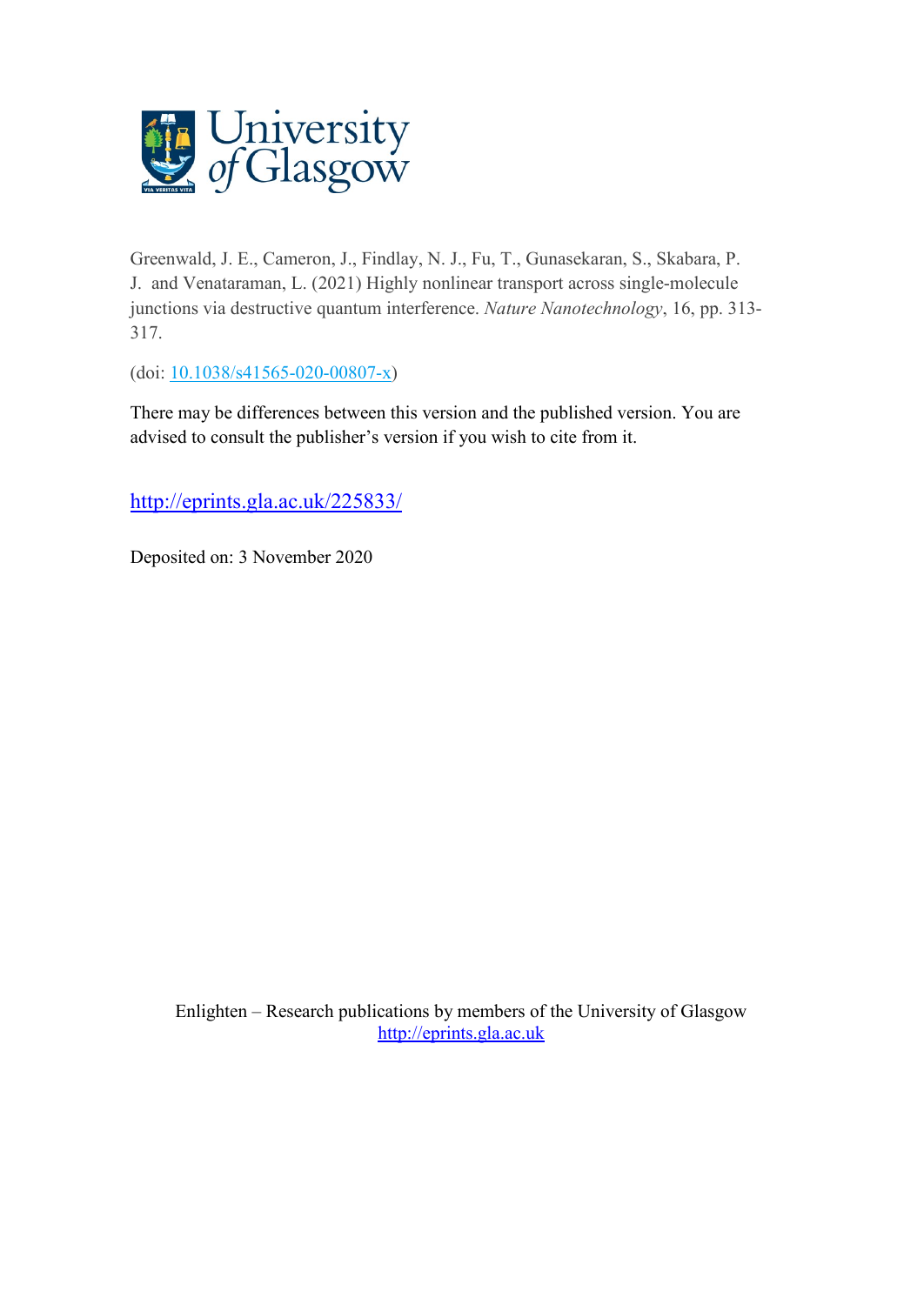

Greenwald, J. E., Cameron, J., Findlay, N. J., Fu, T., Gunasekaran, S., Skabara, P. J. and Venataraman, L. (2021) Highly nonlinear transport across single-molecule junctions via destructive quantum interference. *Nature Nanotechnology*, 16, pp. 313- 317.

(doi: [10.1038/s41565-020-00807-x\)](http://dx.doi.org/10.1038/s41565-020-00807-x)

There may be differences between this version and the published version. You are advised to consult the publisher's version if you wish to cite from it.

<http://eprints.gla.ac.uk/225833/>

Deposited on: 3 November 2020

Enlighten – Research publications by members of the University of Glasgow [http://eprints.gla.ac.uk](http://eprints.gla.ac.uk/)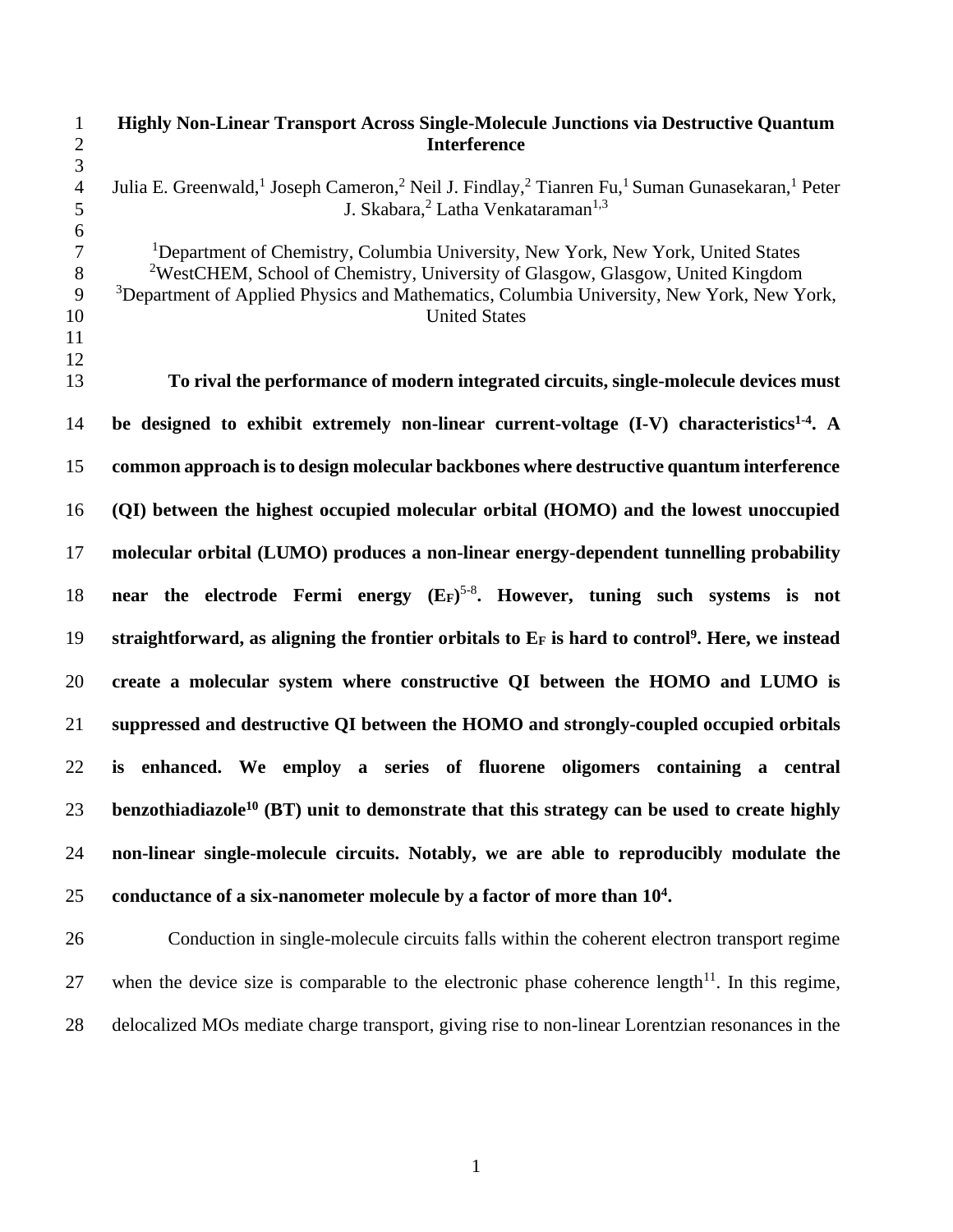**Highly Non-Linear Transport Across Single-Molecule Junctions via Destructive Quantum Interference** 4 Julia E. Greenwald,<sup>1</sup> Joseph Cameron,<sup>2</sup> Neil J. Findlay,<sup>2</sup> Tianren Fu,<sup>1</sup> Suman Gunasekaran,<sup>1</sup> Peter 5 **J.** Skabara,<sup>2</sup> Latha Venkataraman<sup>1,3</sup> <sup>1</sup>Department of Chemistry, Columbia University, New York, New York, United States <sup>2</sup>WestCHEM, School of Chemistry, University of Glasgow, Glasgow, United Kingdom <sup>3</sup>Department of Applied Physics and Mathematics, Columbia University, New York, New York, 10 United States **To rival the performance of modern integrated circuits, single-molecule devices must**  14 be designed to exhibit extremely non-linear current-voltage (I-V) characteristics<sup>1-4</sup>. A **common approach is to design molecular backbones where destructive quantum interference (QI) between the highest occupied molecular orbital (HOMO) and the lowest unoccupied molecular orbital (LUMO) produces a non-linear energy-dependent tunnelling probability near the electrode Fermi energy (EF)** 5-8 **. However, tuning such systems is not straightforward, as aligning the frontier orbitals to E<sup>F</sup> is hard to control<sup>9</sup> . Here, we instead create a molecular system where constructive QI between the HOMO and LUMO is suppressed and destructive QI between the HOMO and strongly-coupled occupied orbitals is enhanced. We employ a series of fluorene oligomers containing a central benzothiadiazole<sup>10</sup> (BT) unit to demonstrate that this strategy can be used to create highly non-linear single-molecule circuits. Notably, we are able to reproducibly modulate the conductance of a six-nanometer molecule by a factor of more than 10<sup>4</sup> .** Conduction in single-molecule circuits falls within the coherent electron transport regime

27 when the device size is comparable to the electronic phase coherence length<sup>11</sup>. In this regime, delocalized MOs mediate charge transport, giving rise to non-linear Lorentzian resonances in the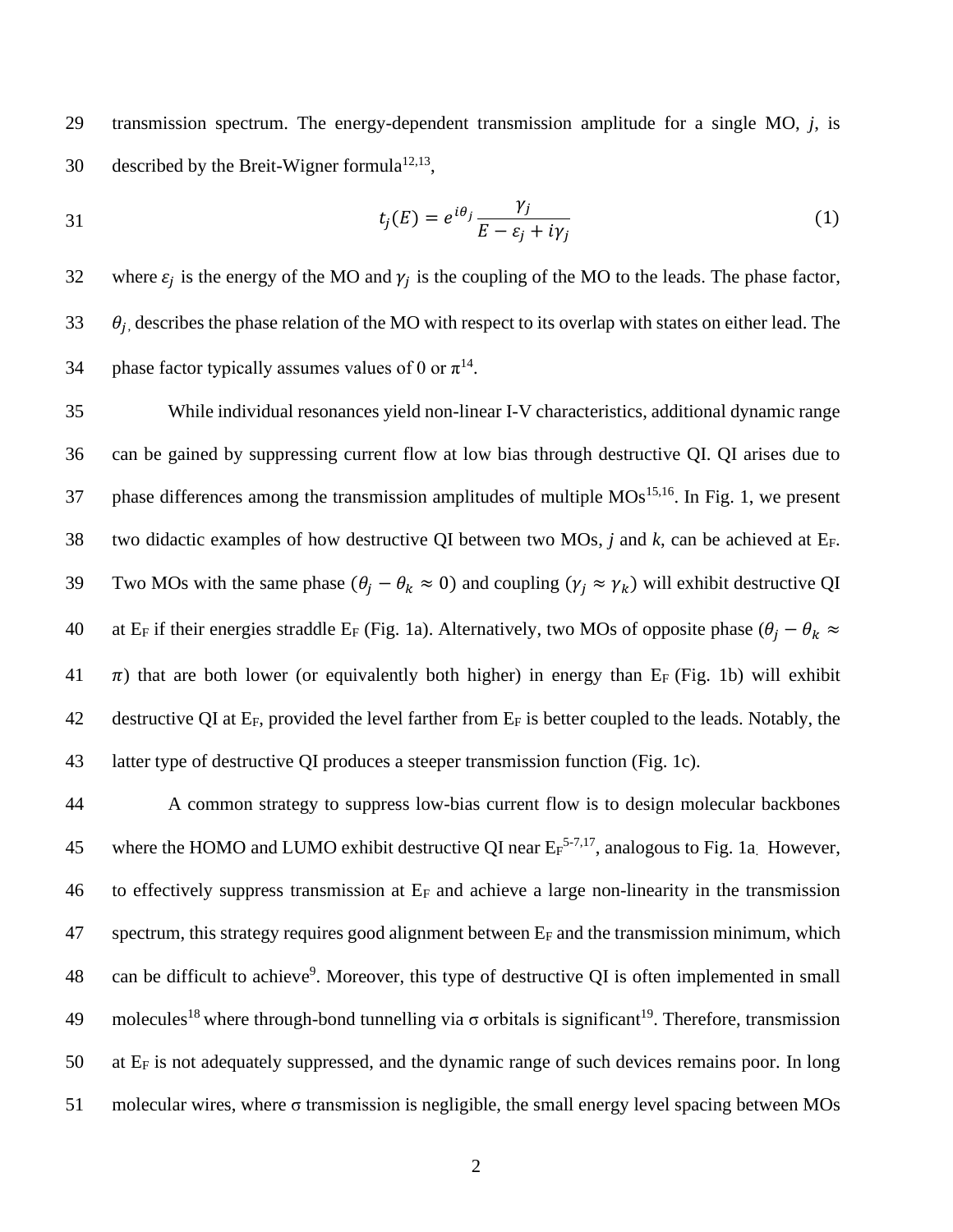29 transmission spectrum. The energy-dependent transmission amplitude for a single MO, *j*, is 30 described by the Breit-Wigner formula<sup>12,13</sup>,

$$
t_j(E) = e^{i\theta_j} \frac{\gamma_j}{E - \varepsilon_j + i\gamma_j} \tag{1}
$$

32 where  $\varepsilon_j$  is the energy of the MO and  $\gamma_j$  is the coupling of the MO to the leads. The phase factor,  $33$   $\theta_i$ , describes the phase relation of the MO with respect to its overlap with states on either lead. The 34 phase factor typically assumes values of 0 or  $\pi^{14}$ .

35 While individual resonances yield non-linear I-V characteristics, additional dynamic range 36 can be gained by suppressing current flow at low bias through destructive QI. QI arises due to 37 phase differences among the transmission amplitudes of multiple  $MOs<sup>15,16</sup>$ . In Fig. 1, we present 38 two didactic examples of how destructive QI between two MOs, *j* and *k*, can be achieved at EF. 39 Two MOs with the same phase  $(\theta_i - \theta_k \approx 0)$  and coupling  $(\gamma_i \approx \gamma_k)$  will exhibit destructive QI 40 at E<sub>F</sub> if their energies straddle E<sub>F</sub> (Fig. 1a). Alternatively, two MOs of opposite phase  $(\theta_j - \theta_k \approx$ 41  $\pi$ ) that are both lower (or equivalently both higher) in energy than E<sub>F</sub> (Fig. 1b) will exhibit 42 destructive QI at  $E_F$ , provided the level farther from  $E_F$  is better coupled to the leads. Notably, the 43 latter type of destructive QI produces a steeper transmission function (Fig. 1c).

 A common strategy to suppress low-bias current flow is to design molecular backbones 45 where the HOMO and LUMO exhibit destructive QI near  $E_F^{5-7,17}$ , analogous to Fig. 1a. However, to effectively suppress transmission at E<sup>F</sup> and achieve a large non-linearity in the transmission spectrum, this strategy requires good alignment between  $E_F$  and the transmission minimum, which 48 can be difficult to achieve<sup>9</sup>. Moreover, this type of destructive QI is often implemented in small 49 molecules<sup>18</sup> where through-bond tunnelling via  $\sigma$  orbitals is significant<sup>19</sup>. Therefore, transmission at  $E_F$  is not adequately suppressed, and the dynamic range of such devices remains poor. In long molecular wires, where σ transmission is negligible, the small energy level spacing between MOs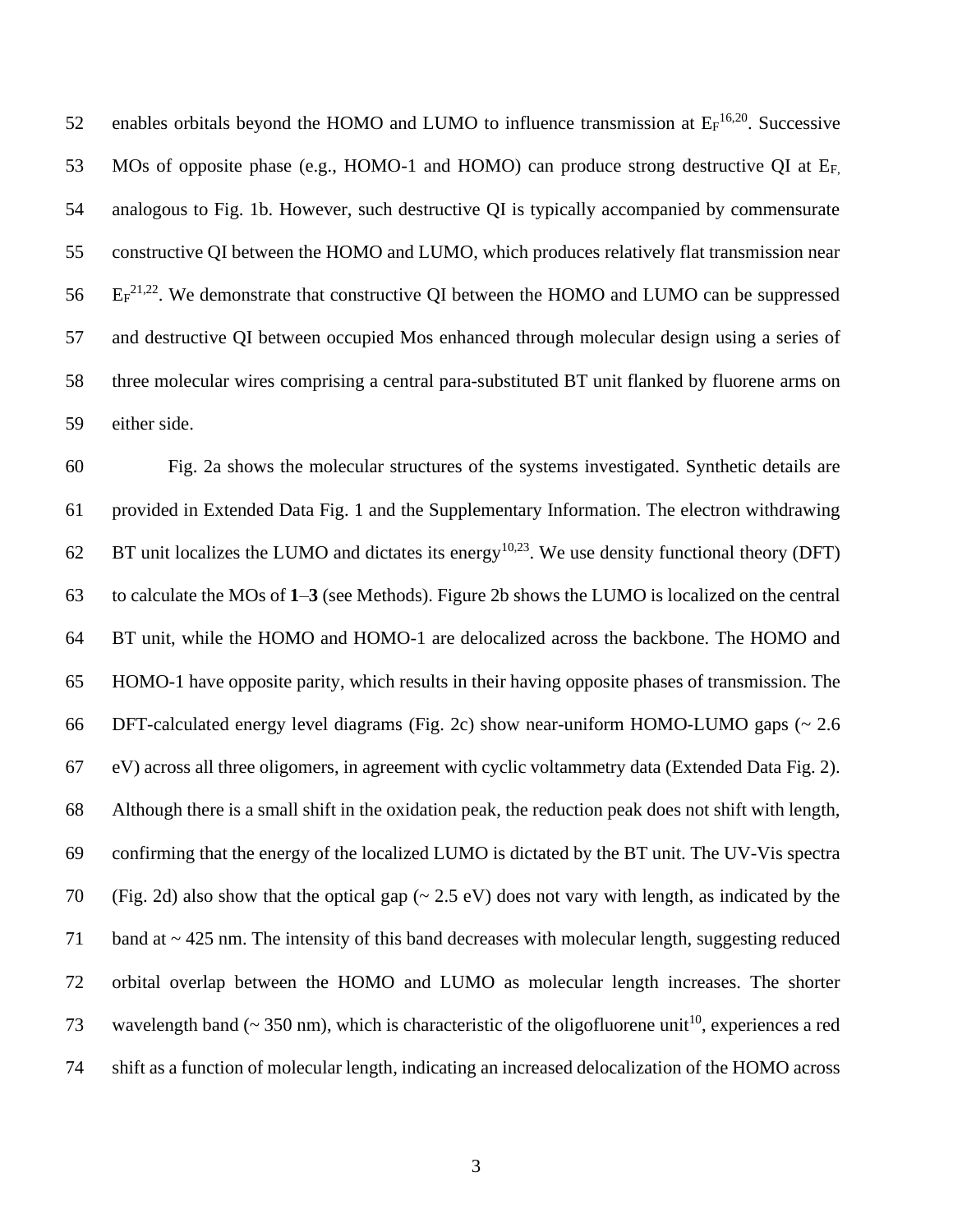52 enables orbitals beyond the HOMO and LUMO to influence transmission at  $E_F^{16,20}$ . Successive 53 MOs of opposite phase (e.g., HOMO-1 and HOMO) can produce strong destructive QI at E<sub>F</sub> analogous to Fig. 1b. However, such destructive QI is typically accompanied by commensurate constructive QI between the HOMO and LUMO, which produces relatively flat transmission near  $E_F^{21,22}$ . We demonstrate that constructive QI between the HOMO and LUMO can be suppressed and destructive QI between occupied Mos enhanced through molecular design using a series of three molecular wires comprising a central para-substituted BT unit flanked by fluorene arms on either side.

 Fig. 2a shows the molecular structures of the systems investigated. Synthetic details are provided in Extended Data Fig. 1 and the Supplementary Information. The electron withdrawing 62 BT unit localizes the LUMO and dictates its energy<sup>10,23</sup>. We use density functional theory (DFT) to calculate the MOs of **1**–**3** (see Methods). Figure 2b shows the LUMO is localized on the central BT unit, while the HOMO and HOMO-1 are delocalized across the backbone. The HOMO and HOMO-1 have opposite parity, which results in their having opposite phases of transmission. The DFT-calculated energy level diagrams (Fig. 2c) show near-uniform HOMO-LUMO gaps (~ 2.6 eV) across all three oligomers, in agreement with cyclic voltammetry data (Extended Data Fig. 2). Although there is a small shift in the oxidation peak, the reduction peak does not shift with length, confirming that the energy of the localized LUMO is dictated by the BT unit. The UV-Vis spectra 70 (Fig. 2d) also show that the optical gap ( $\sim$  2.5 eV) does not vary with length, as indicated by the band at ~ 425 nm. The intensity of this band decreases with molecular length, suggesting reduced orbital overlap between the HOMO and LUMO as molecular length increases. The shorter 73 wavelength band ( $\sim$  350 nm), which is characteristic of the oligofluorene unit<sup>10</sup>, experiences a red shift as a function of molecular length, indicating an increased delocalization of the HOMO across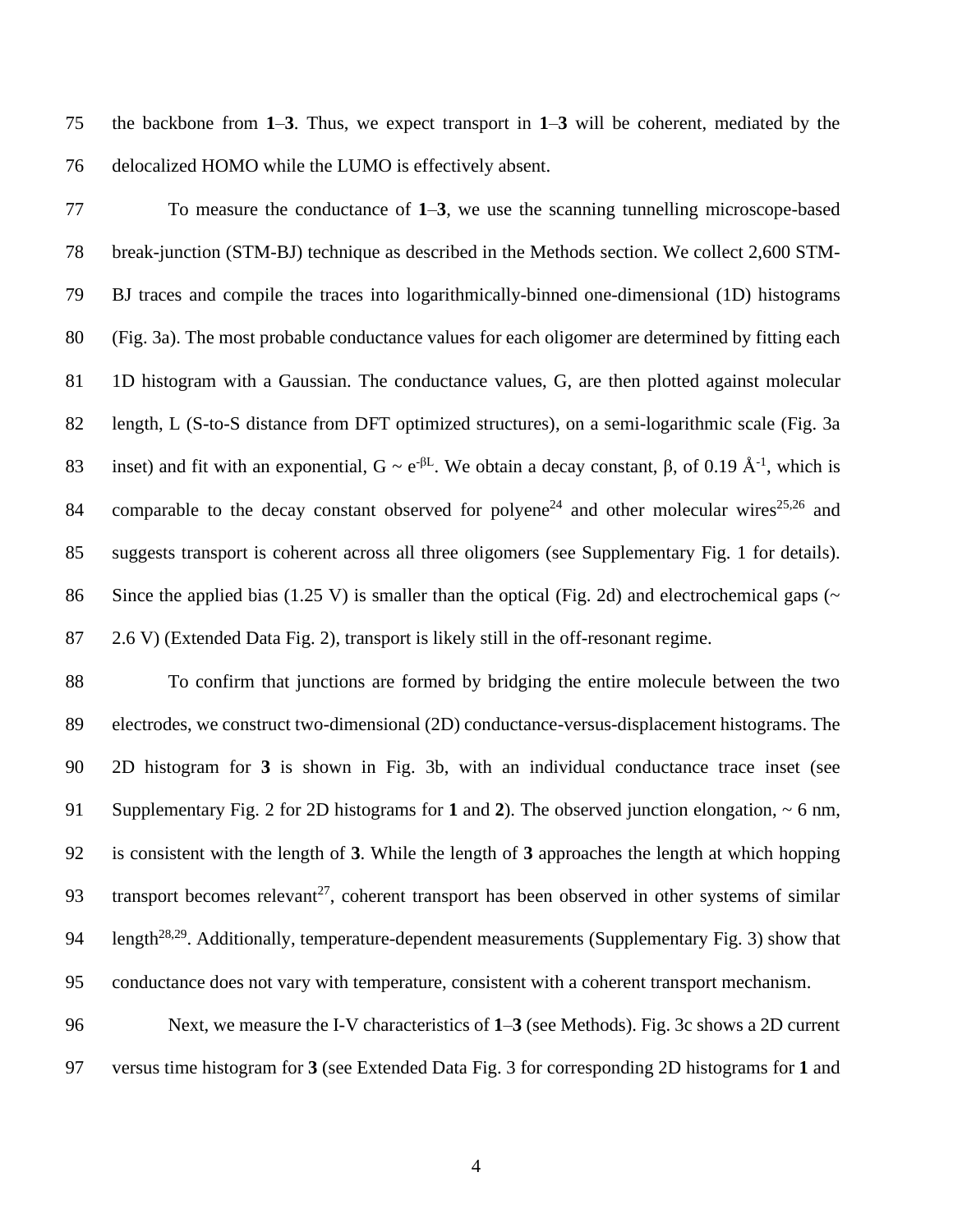the backbone from **1**–**3**. Thus, we expect transport in **1**–**3** will be coherent, mediated by the delocalized HOMO while the LUMO is effectively absent.

 To measure the conductance of **1**–**3**, we use the scanning tunnelling microscope-based break-junction (STM-BJ) technique as described in the Methods section. We collect 2,600 STM- BJ traces and compile the traces into logarithmically-binned one-dimensional (1D) histograms (Fig. 3a). The most probable conductance values for each oligomer are determined by fitting each 1D histogram with a Gaussian. The conductance values, G, are then plotted against molecular length, L (S-to-S distance from DFT optimized structures), on a semi-logarithmic scale (Fig. 3a 83 inset) and fit with an exponential,  $G \sim e^{-\beta L}$ . We obtain a decay constant, β, of 0.19 Å<sup>-1</sup>, which is 84 comparable to the decay constant observed for polyene<sup>24</sup> and other molecular wires<sup>25,26</sup> and suggests transport is coherent across all three oligomers (see Supplementary Fig. 1 for details). 86 Since the applied bias (1.25 V) is smaller than the optical (Fig. 2d) and electrochemical gaps ( $\sim$ 2.6 V) (Extended Data Fig. 2), transport is likely still in the off-resonant regime.

 To confirm that junctions are formed by bridging the entire molecule between the two electrodes, we construct two-dimensional (2D) conductance-versus-displacement histograms. The 2D histogram for **3** is shown in Fig. 3b, with an individual conductance trace inset (see Supplementary Fig. 2 for 2D histograms for **1** and **2**). The observed junction elongation, ~ 6 nm, is consistent with the length of **3**. While the length of **3** approaches the length at which hopping 93 transport becomes relevant<sup>27</sup>, coherent transport has been observed in other systems of similar 94 length<sup>28,29</sup>. Additionally, temperature-dependent measurements (Supplementary Fig. 3) show that conductance does not vary with temperature, consistent with a coherent transport mechanism.

 Next, we measure the I-V characteristics of **1**–**3** (see Methods). Fig. 3c shows a 2D current versus time histogram for **3** (see Extended Data Fig. 3 for corresponding 2D histograms for **1** and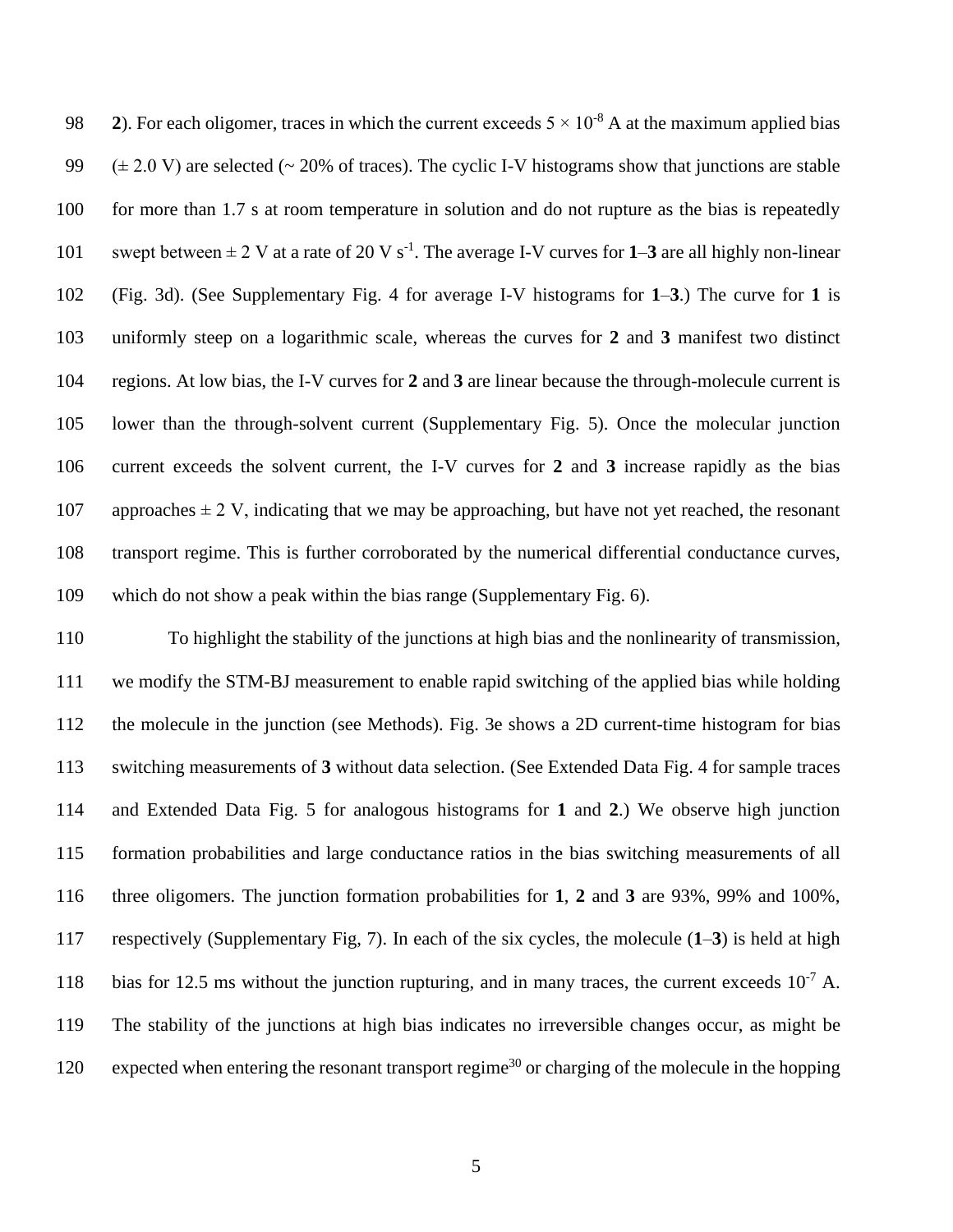2). For each oligomer, traces in which the current exceeds  $5 \times 10^{-8}$  A at the maximum applied bias  $(\pm 2.0 \text{ V})$  are selected (~ 20% of traces). The cyclic I-V histograms show that junctions are stable 100 for more than 1.7 s at room temperature in solution and do not rupture as the bias is repeatedly 101 swept between  $\pm 2$  V at a rate of 20 V s<sup>-1</sup>. The average I-V curves for 1–3 are all highly non-linear (Fig. 3d). (See Supplementary Fig. 4 for average I-V histograms for **1**–**3**.) The curve for **1** is uniformly steep on a logarithmic scale, whereas the curves for **2** and **3** manifest two distinct regions. At low bias, the I-V curves for **2** and **3** are linear because the through-molecule current is lower than the through-solvent current (Supplementary Fig. 5). Once the molecular junction current exceeds the solvent current, the I-V curves for **2** and **3** increase rapidly as the bias 107 approaches  $\pm$  2 V, indicating that we may be approaching, but have not yet reached, the resonant transport regime. This is further corroborated by the numerical differential conductance curves, which do not show a peak within the bias range (Supplementary Fig. 6).

 To highlight the stability of the junctions at high bias and the nonlinearity of transmission, we modify the STM-BJ measurement to enable rapid switching of the applied bias while holding the molecule in the junction (see Methods). Fig. 3e shows a 2D current-time histogram for bias switching measurements of **3** without data selection. (See Extended Data Fig. 4 for sample traces and Extended Data Fig. 5 for analogous histograms for **1** and **2**.) We observe high junction formation probabilities and large conductance ratios in the bias switching measurements of all three oligomers. The junction formation probabilities for **1**, **2** and **3** are 93%, 99% and 100%, respectively (Supplementary Fig, 7). In each of the six cycles, the molecule (**1**–**3**) is held at high 118 bias for 12.5 ms without the junction rupturing, and in many traces, the current exceeds  $10^{-7}$  A. The stability of the junctions at high bias indicates no irreversible changes occur, as might be 120 expected when entering the resonant transport regime<sup>30</sup> or charging of the molecule in the hopping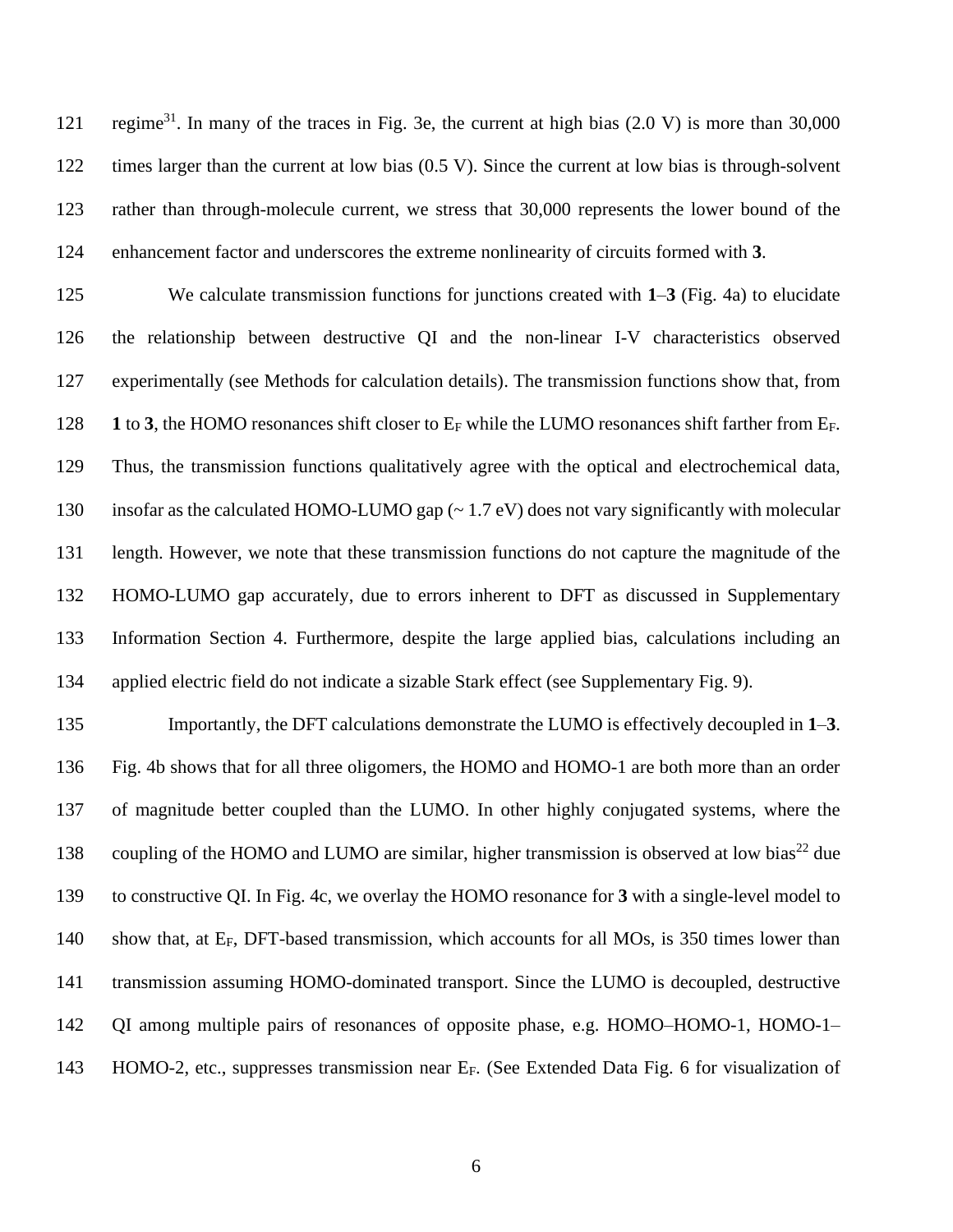121 regime<sup>31</sup>. In many of the traces in Fig. 3e, the current at high bias  $(2.0 V)$  is more than 30,000 times larger than the current at low bias (0.5 V). Since the current at low bias is through-solvent rather than through-molecule current, we stress that 30,000 represents the lower bound of the enhancement factor and underscores the extreme nonlinearity of circuits formed with **3**.

 We calculate transmission functions for junctions created with **1**–**3** (Fig. 4a) to elucidate the relationship between destructive QI and the non-linear I-V characteristics observed experimentally (see Methods for calculation details). The transmission functions show that, from **1** to **3**, the HOMO resonances shift closer to  $E_F$  while the LUMO resonances shift farther from  $E_F$ . Thus, the transmission functions qualitatively agree with the optical and electrochemical data, insofar as the calculated HOMO-LUMO gap (~ 1.7 eV) does not vary significantly with molecular length. However, we note that these transmission functions do not capture the magnitude of the HOMO-LUMO gap accurately, due to errors inherent to DFT as discussed in Supplementary Information Section 4. Furthermore, despite the large applied bias, calculations including an applied electric field do not indicate a sizable Stark effect (see Supplementary Fig. 9).

 Importantly, the DFT calculations demonstrate the LUMO is effectively decoupled in **1**–**3**. Fig. 4b shows that for all three oligomers, the HOMO and HOMO-1 are both more than an order of magnitude better coupled than the LUMO. In other highly conjugated systems, where the 138 coupling of the HOMO and LUMO are similar, higher transmission is observed at low bias<sup>22</sup> due to constructive QI. In Fig. 4c, we overlay the HOMO resonance for **3** with a single-level model to 140 show that, at E<sub>F</sub>, DFT-based transmission, which accounts for all MOs, is 350 times lower than transmission assuming HOMO-dominated transport. Since the LUMO is decoupled, destructive QI among multiple pairs of resonances of opposite phase, e.g. HOMO–HOMO-1, HOMO-1– 143 HOMO-2, etc., suppresses transmission near E<sub>F</sub>. (See Extended Data Fig. 6 for visualization of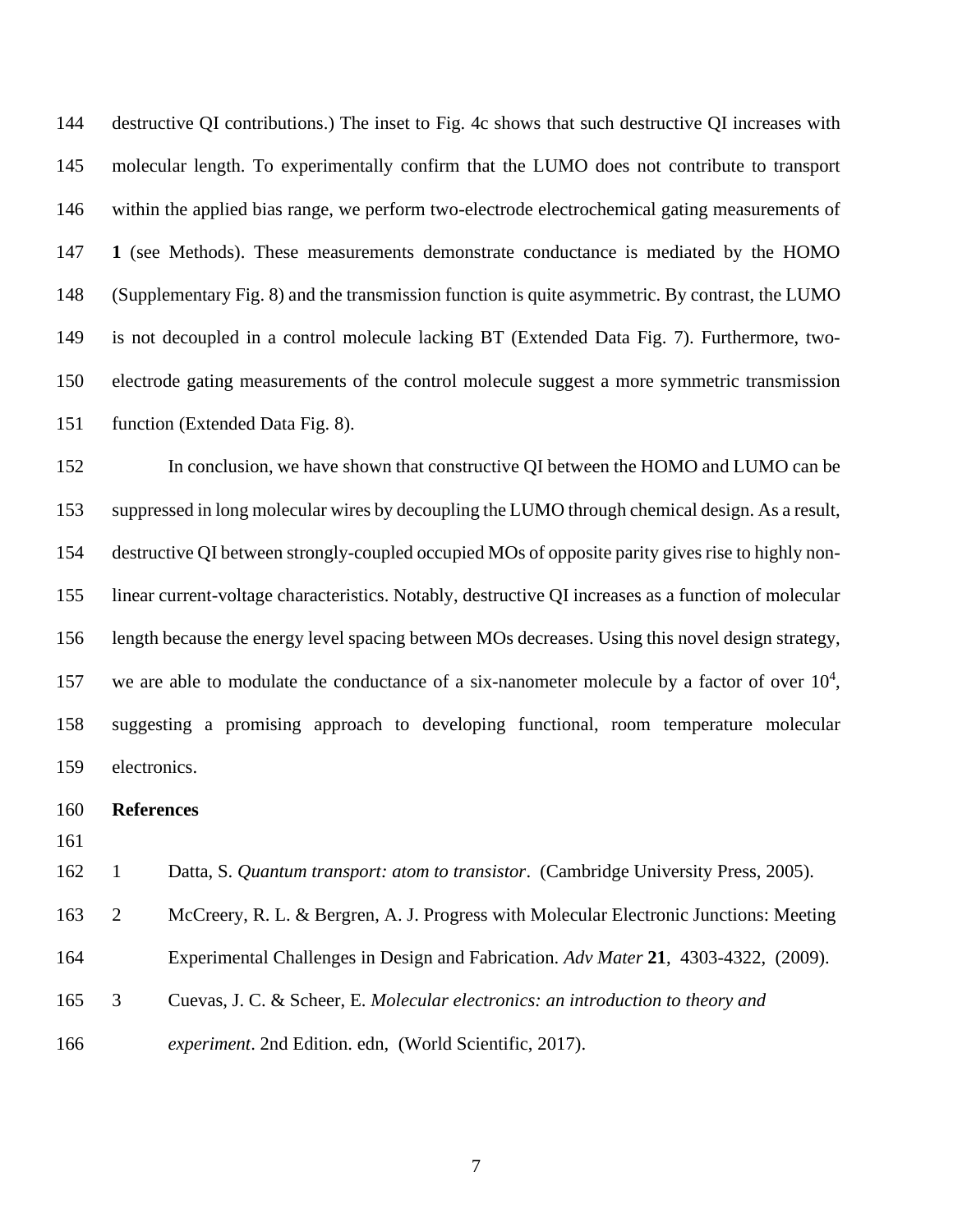destructive QI contributions.) The inset to Fig. 4c shows that such destructive QI increases with molecular length. To experimentally confirm that the LUMO does not contribute to transport within the applied bias range, we perform two-electrode electrochemical gating measurements of **1** (see Methods). These measurements demonstrate conductance is mediated by the HOMO (Supplementary Fig. 8) and the transmission function is quite asymmetric. By contrast, the LUMO is not decoupled in a control molecule lacking BT (Extended Data Fig. 7). Furthermore, two- electrode gating measurements of the control molecule suggest a more symmetric transmission function (Extended Data Fig. 8).

 In conclusion, we have shown that constructive QI between the HOMO and LUMO can be suppressed in long molecular wires by decoupling the LUMO through chemical design. As a result, destructive QI between strongly-coupled occupied MOs of opposite parity gives rise to highly non- linear current-voltage characteristics. Notably, destructive QI increases as a function of molecular length because the energy level spacing between MOs decreases. Using this novel design strategy, 157 we are able to modulate the conductance of a six-nanometer molecule by a factor of over  $10<sup>4</sup>$ , suggesting a promising approach to developing functional, room temperature molecular electronics.

## **References**

1 Datta, S. *Quantum transport: atom to transistor*. (Cambridge University Press, 2005).

- 2 McCreery, R. L. & Bergren, A. J. Progress with Molecular Electronic Junctions: Meeting
- Experimental Challenges in Design and Fabrication. *Adv Mater* **21**, 4303-4322, (2009).
- 3 Cuevas, J. C. & Scheer, E. *Molecular electronics: an introduction to theory and*
- *experiment*. 2nd Edition. edn, (World Scientific, 2017).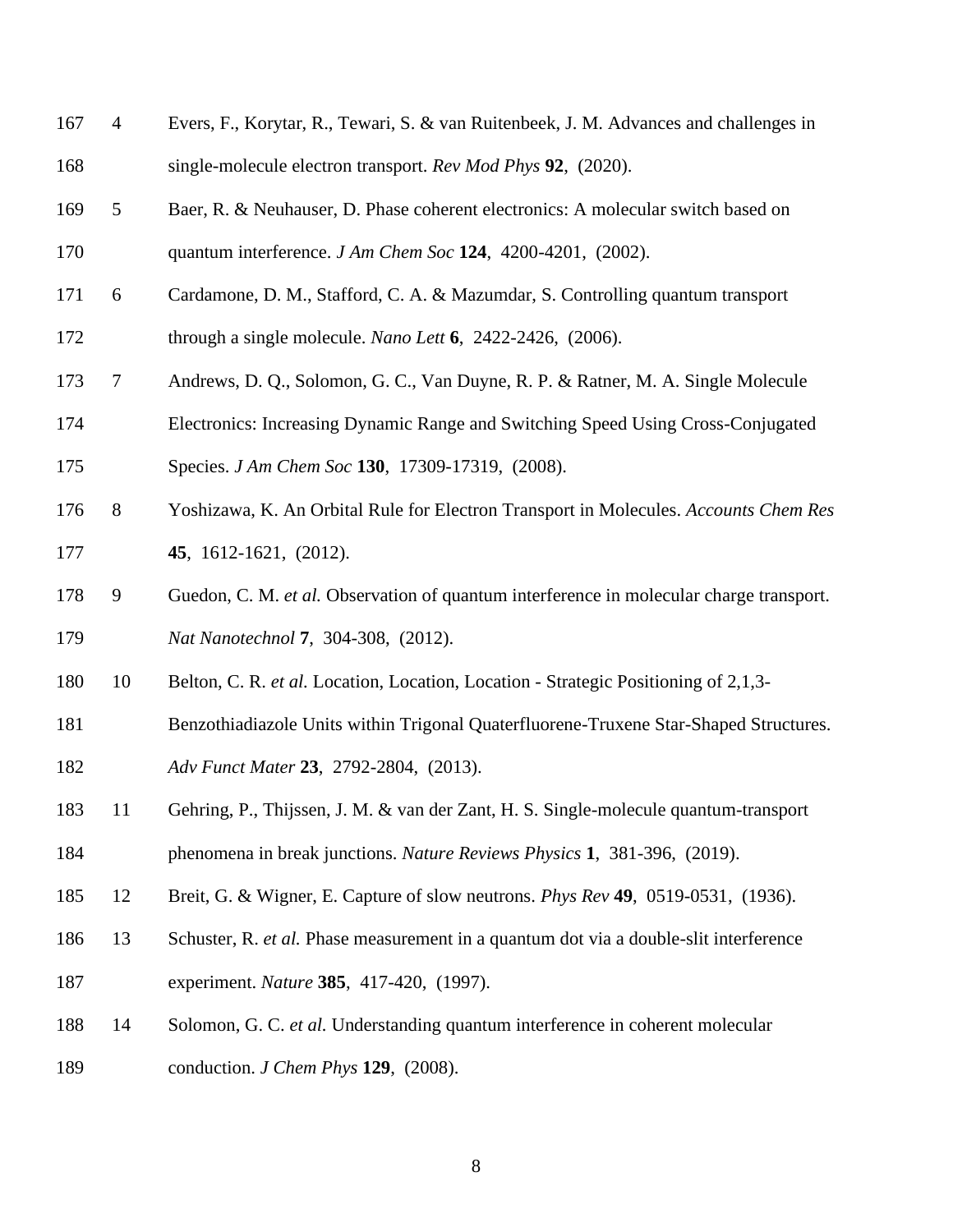| 167 | $\overline{4}$ | Evers, F., Korytar, R., Tewari, S. & van Ruitenbeek, J. M. Advances and challenges in   |
|-----|----------------|-----------------------------------------------------------------------------------------|
| 168 |                | single-molecule electron transport. Rev Mod Phys 92, (2020).                            |
| 169 | 5              | Baer, R. & Neuhauser, D. Phase coherent electronics: A molecular switch based on        |
| 170 |                | quantum interference. $JAm Chem Soc 124$ , 4200-4201, (2002).                           |
| 171 | 6              | Cardamone, D. M., Stafford, C. A. & Mazumdar, S. Controlling quantum transport          |
| 172 |                | through a single molecule. Nano Lett $6$ , 2422-2426, (2006).                           |
| 173 | $\tau$         | Andrews, D. Q., Solomon, G. C., Van Duyne, R. P. & Ratner, M. A. Single Molecule        |
| 174 |                | Electronics: Increasing Dynamic Range and Switching Speed Using Cross-Conjugated        |
| 175 |                | Species. J Am Chem Soc 130, 17309-17319, (2008).                                        |
| 176 | $8\,$          | Yoshizawa, K. An Orbital Rule for Electron Transport in Molecules. Accounts Chem Res    |
| 177 |                | 45, 1612-1621, (2012).                                                                  |
| 178 | 9              | Guedon, C. M. et al. Observation of quantum interference in molecular charge transport. |
| 179 |                | Nat Nanotechnol 7, 304-308, (2012).                                                     |
| 180 | 10             | Belton, C. R. et al. Location, Location, Location - Strategic Positioning of 2,1,3-     |
| 181 |                | Benzothiadiazole Units within Trigonal Quaterfluorene-Truxene Star-Shaped Structures.   |
| 182 |                | Adv Funct Mater 23, 2792-2804, (2013).                                                  |
| 183 |                | 11 Gehring, P., Thijssen, J. M. & van der Zant, H. S. Single-molecule quantum-transport |
| 184 |                | phenomena in break junctions. Nature Reviews Physics 1, 381-396, (2019).                |
| 185 | 12             | Breit, G. & Wigner, E. Capture of slow neutrons. <i>Phys Rev</i> 49, 0519-0531, (1936). |
| 186 | 13             | Schuster, R. et al. Phase measurement in a quantum dot via a double-slit interference   |
| 187 |                | experiment. Nature 385, 417-420, (1997).                                                |
| 188 | 14             | Solomon, G. C. et al. Understanding quantum interference in coherent molecular          |

conduction. *J Chem Phys* **129**, (2008).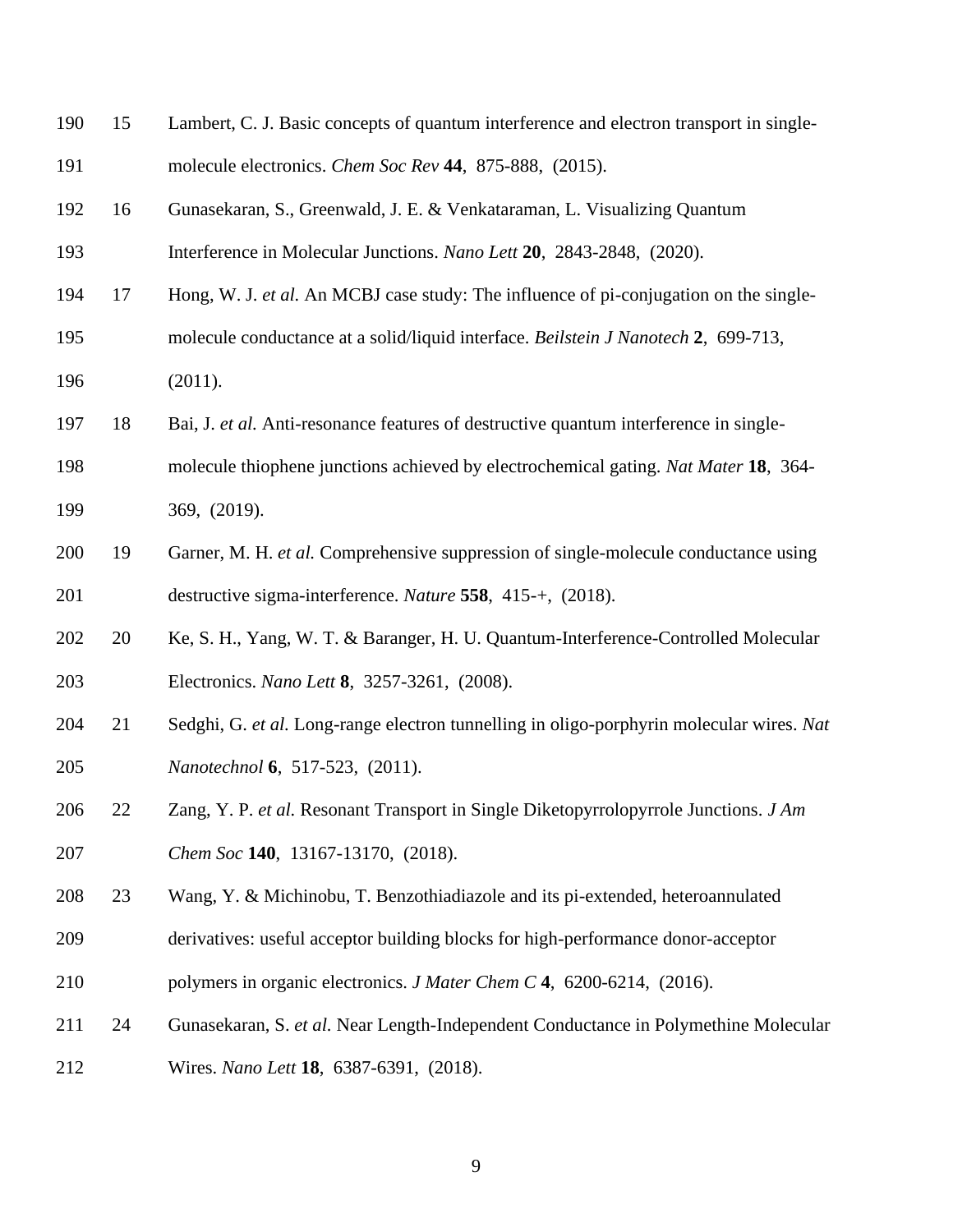| 190 | 15 | Lambert, C. J. Basic concepts of quantum interference and electron transport in single-  |
|-----|----|------------------------------------------------------------------------------------------|
| 191 |    | molecule electronics. Chem Soc Rev 44, 875-888, (2015).                                  |
| 192 | 16 | Gunasekaran, S., Greenwald, J. E. & Venkataraman, L. Visualizing Quantum                 |
| 193 |    | Interference in Molecular Junctions. Nano Lett 20, 2843-2848, (2020).                    |
| 194 | 17 | Hong, W. J. et al. An MCBJ case study: The influence of pi-conjugation on the single-    |
| 195 |    | molecule conductance at a solid/liquid interface. Beilstein J Nanotech 2, 699-713,       |
| 196 |    | (2011).                                                                                  |
| 197 | 18 | Bai, J. et al. Anti-resonance features of destructive quantum interference in single-    |
| 198 |    | molecule thiophene junctions achieved by electrochemical gating. Nat Mater 18, 364-      |
| 199 |    | 369, (2019).                                                                             |
| 200 | 19 | Garner, M. H. et al. Comprehensive suppression of single-molecule conductance using      |
| 201 |    | destructive sigma-interference. Nature 558, 415-+, (2018).                               |
| 202 | 20 | Ke, S. H., Yang, W. T. & Baranger, H. U. Quantum-Interference-Controlled Molecular       |
| 203 |    | Electronics. Nano Lett 8, 3257-3261, (2008).                                             |
| 204 | 21 | Sedghi, G. et al. Long-range electron tunnelling in oligo-porphyrin molecular wires. Nat |
| 205 |    | Nanotechnol 6, 517-523, (2011).                                                          |
| 206 | 22 | Zang, Y. P. et al. Resonant Transport in Single Diketopyrrolopyrrole Junctions. J Am     |
| 207 |    | Chem Soc 140, 13167-13170, (2018).                                                       |
| 208 | 23 | Wang, Y. & Michinobu, T. Benzothiadiazole and its pi-extended, heteroannulated           |
| 209 |    | derivatives: useful acceptor building blocks for high-performance donor-acceptor         |
| 210 |    | polymers in organic electronics. <i>J Mater Chem C</i> 4, 6200-6214, (2016).             |
| 211 | 24 | Gunasekaran, S. et al. Near Length-Independent Conductance in Polymethine Molecular      |
| 212 |    | Wires. Nano Lett 18, 6387-6391, (2018).                                                  |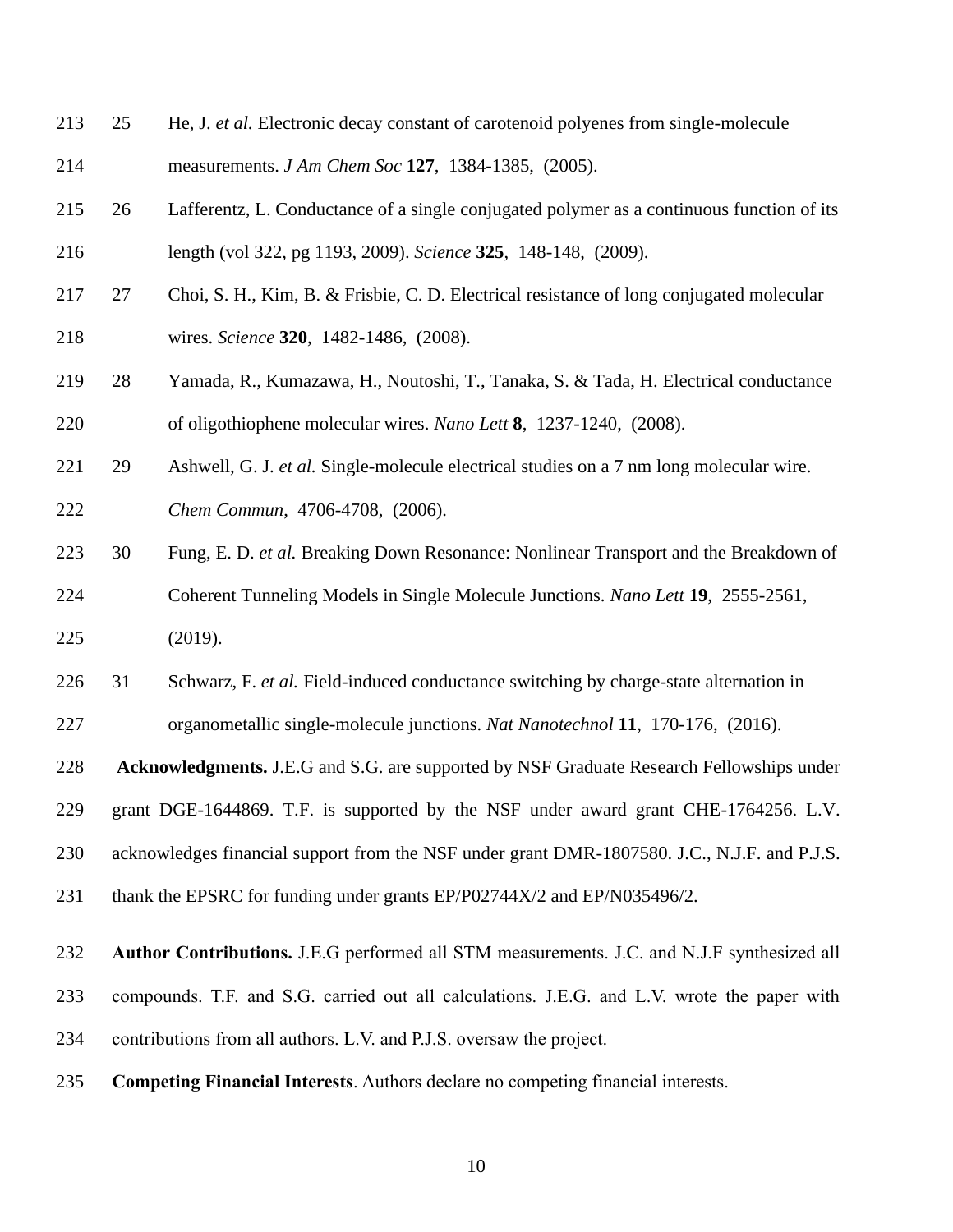- 25 He, J. *et al.* Electronic decay constant of carotenoid polyenes from single-molecule measurements. *J Am Chem Soc* **127**, 1384-1385, (2005).
- 26 Lafferentz, L. Conductance of a single conjugated polymer as a continuous function of its length (vol 322, pg 1193, 2009). *Science* **325**, 148-148, (2009).
- 27 Choi, S. H., Kim, B. & Frisbie, C. D. Electrical resistance of long conjugated molecular wires. *Science* **320**, 1482-1486, (2008).
- 28 Yamada, R., Kumazawa, H., Noutoshi, T., Tanaka, S. & Tada, H. Electrical conductance of oligothiophene molecular wires. *Nano Lett* **8**, 1237-1240, (2008).
- 29 Ashwell, G. J. *et al.* Single-molecule electrical studies on a 7 nm long molecular wire.

*Chem Commun*, 4706-4708, (2006).

- 30 Fung, E. D. *et al.* Breaking Down Resonance: Nonlinear Transport and the Breakdown of Coherent Tunneling Models in Single Molecule Junctions. *Nano Lett* **19**, 2555-2561,
- (2019).
- 31 Schwarz, F. *et al.* Field-induced conductance switching by charge-state alternation in organometallic single-molecule junctions. *Nat Nanotechnol* **11**, 170-176, (2016).

**Acknowledgments.** J.E.G and S.G. are supported by NSF Graduate Research Fellowships under

grant DGE-1644869. T.F. is supported by the NSF under award grant CHE-1764256. L.V.

acknowledges financial support from the NSF under grant DMR-1807580. J.C., N.J.F. and P.J.S.

- 231 thank the EPSRC for funding under grants EP/P02744X/2 and EP/N035496/2.
- **Author Contributions.** J.E.G performed all STM measurements. J.C. and N.J.F synthesized all compounds. T.F. and S.G. carried out all calculations. J.E.G. and L.V. wrote the paper with contributions from all authors. L.V. and P.J.S. oversaw the project.
- **Competing Financial Interests**. Authors declare no competing financial interests.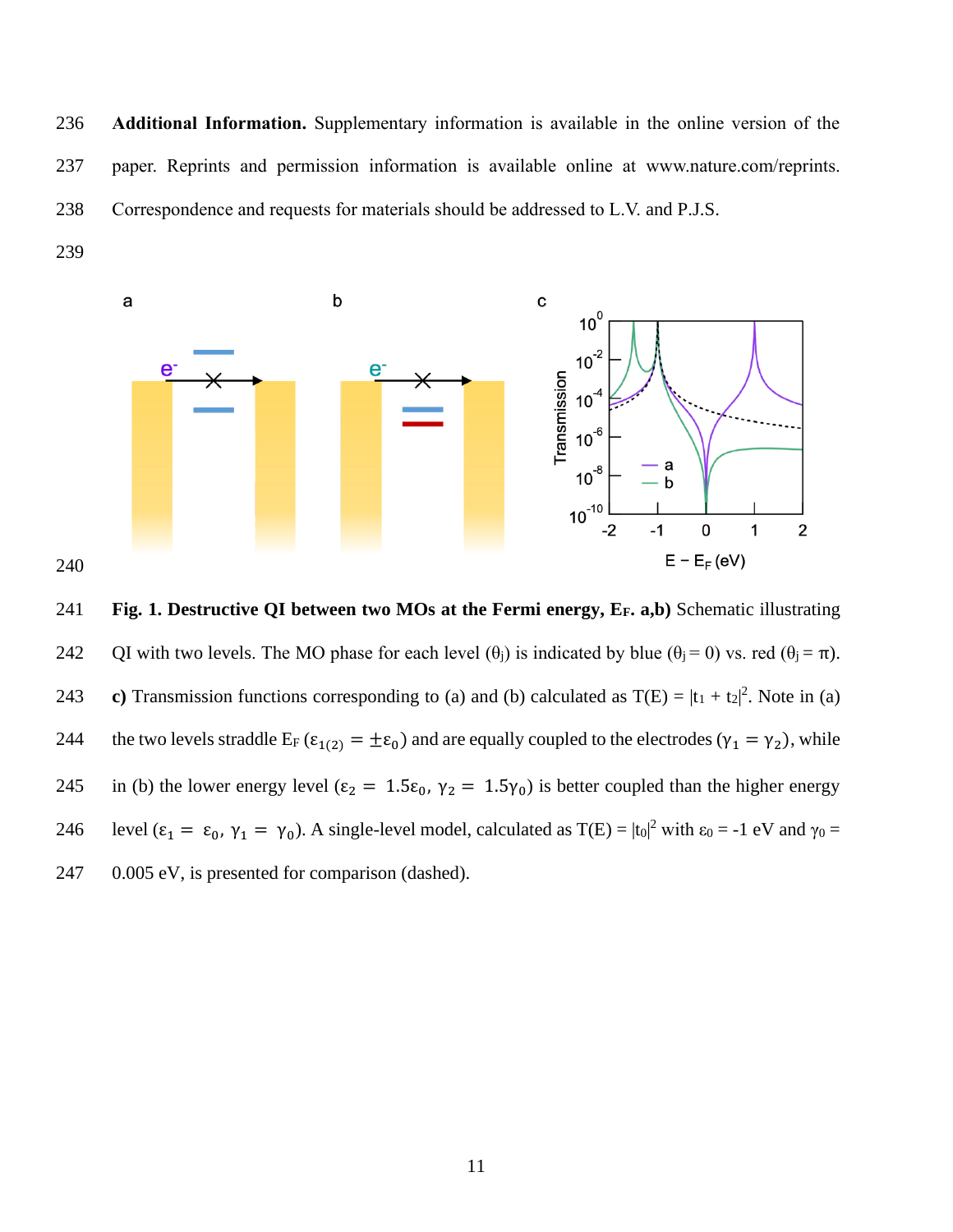**Additional Information.** Supplementary information is available in the online version of the paper. Reprints and permission information is available online at www.nature.com/reprints. Correspondence and requests for materials should be addressed to L.V. and P.J.S.



 **Fig. 1. Destructive QI between two MOs at the Fermi energy, EF. a,b)** Schematic illustrating 242 QI with two levels. The MO phase for each level  $(\theta_i)$  is indicated by blue  $(\theta_i = 0)$  vs. red  $(\theta_i = \pi)$ . 243 **c**) Transmission functions corresponding to (a) and (b) calculated as  $T(E) = |t_1 + t_2|^2$ . Note in (a) 244 the two levels straddle  $E_F$  ( $\varepsilon_{1(2)} = \pm \varepsilon_0$ ) and are equally coupled to the electrodes ( $\gamma_1 = \gamma_2$ ), while 245 in (b) the lower energy level ( $\epsilon_2 = 1.5\epsilon_0$ ,  $\gamma_2 = 1.5\gamma_0$ ) is better coupled than the higher energy 246 level  $(\epsilon_1 = \epsilon_0, \gamma_1 = \gamma_0)$ . A single-level model, calculated as  $T(E) = |t_0|^2$  with  $\epsilon_0 = -1$  eV and  $\gamma_0 =$ 0.005 eV, is presented for comparison (dashed).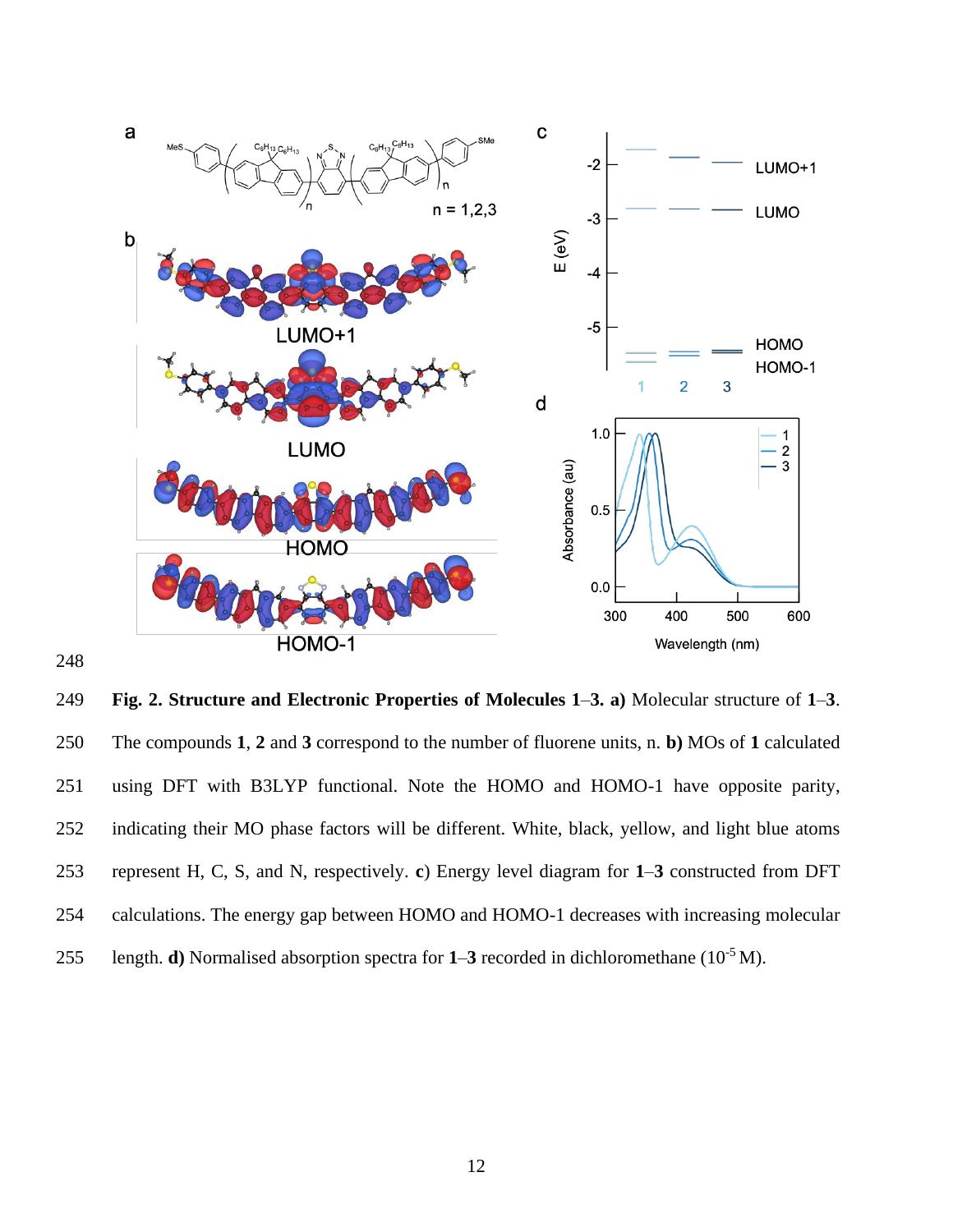

 **Fig. 2. Structure and Electronic Properties of Molecules 1**–**3. a)** Molecular structure of **1**–**3**. The compounds **1**, **2** and **3** correspond to the number of fluorene units, n. **b)** MOs of **1** calculated using DFT with B3LYP functional. Note the HOMO and HOMO-1 have opposite parity, indicating their MO phase factors will be different. White, black, yellow, and light blue atoms represent H, C, S, and N, respectively. **c**) Energy level diagram for **1**–**3** constructed from DFT calculations. The energy gap between HOMO and HOMO-1 decreases with increasing molecular 255 length. **d**) Normalised absorption spectra for  $1-3$  recorded in dichloromethane ( $10^{-5}$  M).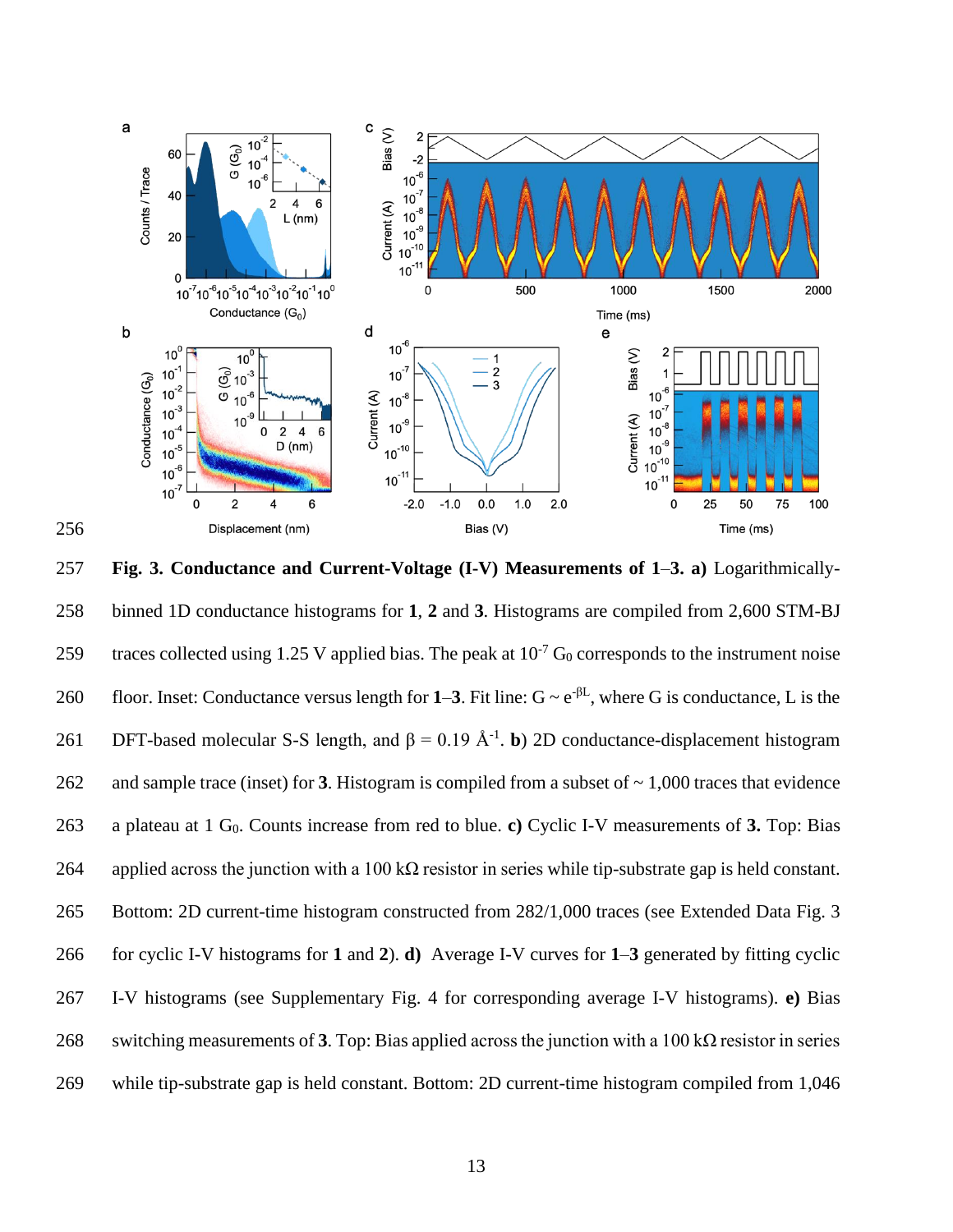

257 **Fig. 3. Conductance and Current-Voltage (I-V) Measurements of 1**–**3. a)** Logarithmically-258 binned 1D conductance histograms for **1**, **2** and **3**. Histograms are compiled from 2,600 STM-BJ 259 traces collected using 1.25 V applied bias. The peak at  $10^{-7}$  G<sub>0</sub> corresponds to the instrument noise floor. Inset: Conductance versus length for 1–3. Fit line:  $G \sim e^{-\beta L}$ , where G is conductance, L is the 261 **DFT-based molecular S-S length, and β** = 0.19 Å<sup>-1</sup>**. b**) 2D conductance-displacement histogram 262 and sample trace (inset) for **3**. Histogram is compiled from a subset of ~ 1,000 traces that evidence 263 a plateau at 1 G0. Counts increase from red to blue. **c)** Cyclic I-V measurements of **3.** Top: Bias 264 applied across the junction with a 100 kΩ resistor in series while tip-substrate gap is held constant. 265 Bottom: 2D current-time histogram constructed from 282/1,000 traces (see Extended Data Fig. 3 266 for cyclic I-V histograms for **1** and **2**). **d)** Average I-V curves for **1**–**3** generated by fitting cyclic 267 I-V histograms (see Supplementary Fig. 4 for corresponding average I-V histograms). **e)** Bias 268 switching measurements of **3**. Top: Bias applied across the junction with a 100 k $\Omega$  resistor in series 269 while tip-substrate gap is held constant. Bottom: 2D current-time histogram compiled from 1,046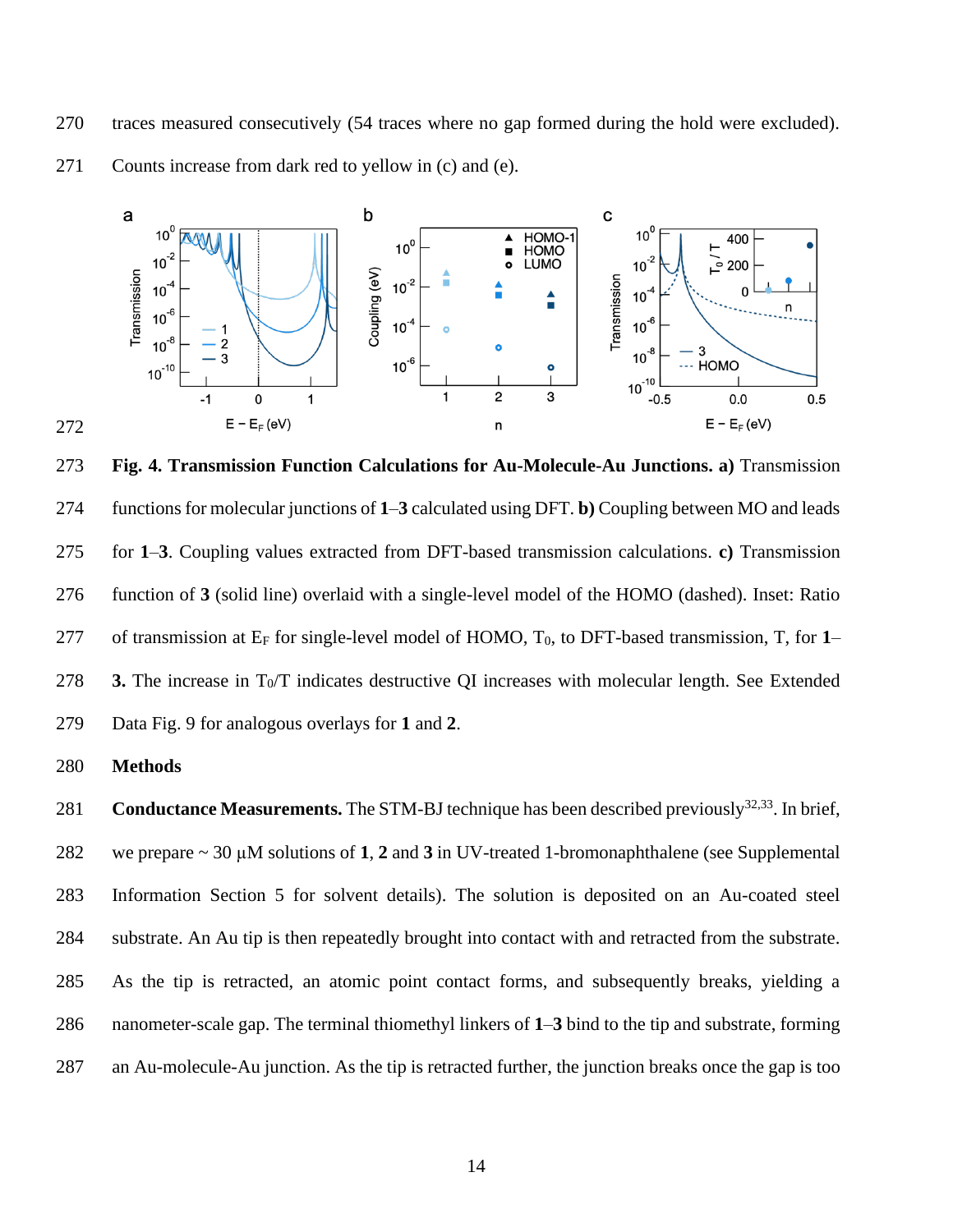traces measured consecutively (54 traces where no gap formed during the hold were excluded).



Counts increase from dark red to yellow in (c) and (e).

 **Fig. 4. Transmission Function Calculations for Au-Molecule-Au Junctions. a)** Transmission functions for molecular junctions of **1**–**3** calculated using DFT. **b)** Coupling between MO and leads for **1**–**3**. Coupling values extracted from DFT-based transmission calculations. **c)** Transmission function of **3** (solid line) overlaid with a single-level model of the HOMO (dashed). Inset: Ratio 277 of transmission at  $E_F$  for single-level model of HOMO,  $T_0$ , to DFT-based transmission, T, for 1– 278 **3.** The increase in  $T_0/T$  indicates destructive QI increases with molecular length. See Extended Data Fig. 9 for analogous overlays for **1** and **2**.

**Methods** 

281 **Conductance Measurements.** The STM-BJ technique has been described previously<sup>32,33</sup>. In brief, we prepare ~ 30 µM solutions of **1**, **2** and **3** in UV-treated 1-bromonaphthalene (see Supplemental Information Section 5 for solvent details). The solution is deposited on an Au-coated steel substrate. An Au tip is then repeatedly brought into contact with and retracted from the substrate. As the tip is retracted, an atomic point contact forms, and subsequently breaks, yielding a nanometer-scale gap. The terminal thiomethyl linkers of **1**–**3** bind to the tip and substrate, forming an Au-molecule-Au junction. As the tip is retracted further, the junction breaks once the gap is too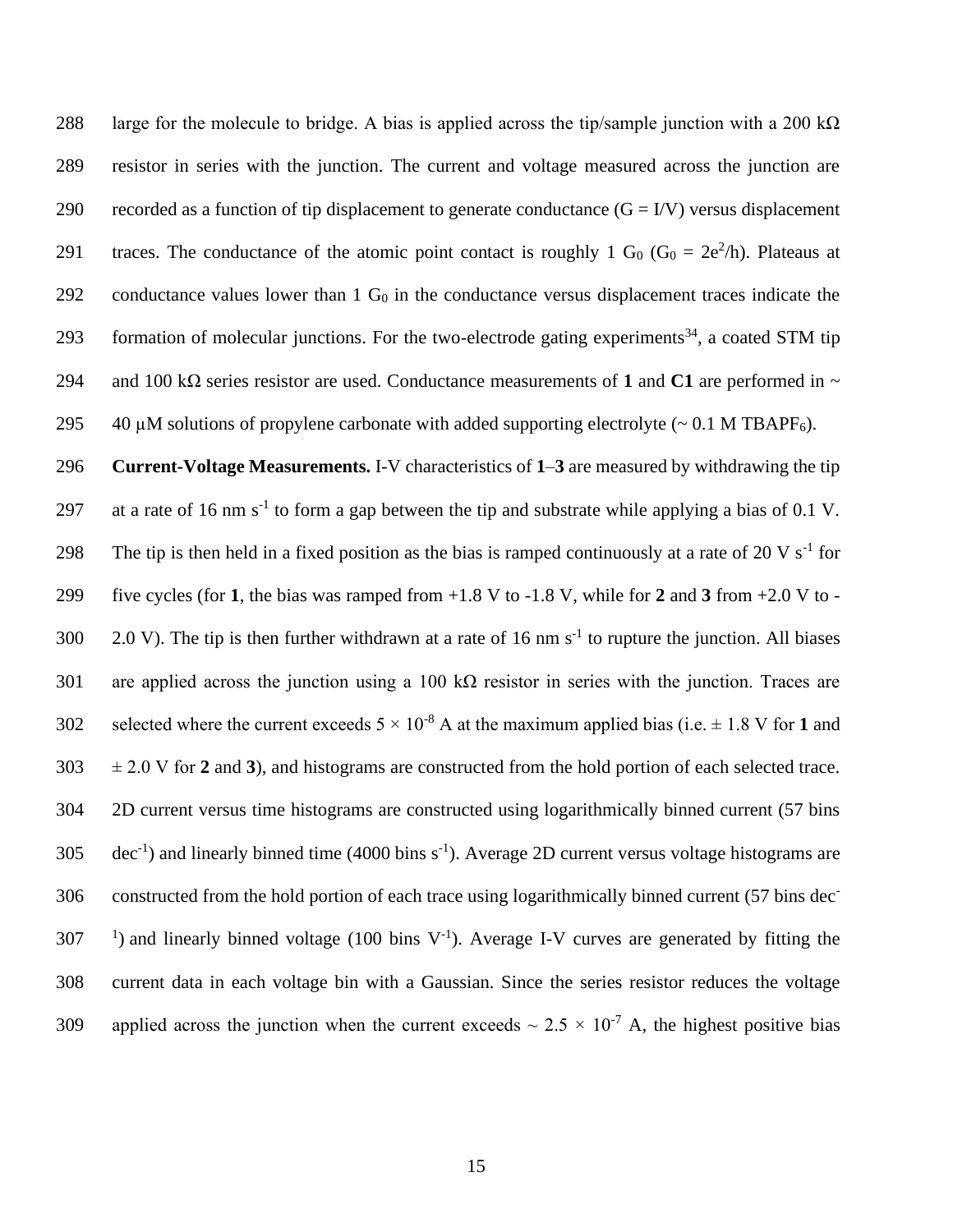288 large for the molecule to bridge. A bias is applied across the tip/sample junction with a 200 k $\Omega$ 289 resistor in series with the junction. The current and voltage measured across the junction are 290 recorded as a function of tip displacement to generate conductance  $(G = IV)$  versus displacement 291 traces. The conductance of the atomic point contact is roughly 1 G<sub>0</sub> (G<sub>0</sub> =  $2e^2/h$ ). Plateaus at 292 conductance values lower than  $1 G_0$  in the conductance versus displacement traces indicate the 293 formation of molecular junctions. For the two-electrode gating experiments<sup>34</sup>, a coated STM tip 294 and 100 kΩ series resistor are used. Conductance measurements of **1** and **C1** are performed in ~ 295 40  $\mu$ M solutions of propylene carbonate with added supporting electrolyte (~ 0.1 M TBAPF<sub>6</sub>).

296 **Current-Voltage Measurements.** I-V characteristics of **1**–**3** are measured by withdrawing the tip 297 at a rate of 16 nm  $s^{-1}$  to form a gap between the tip and substrate while applying a bias of 0.1 V. 298 The tip is then held in a fixed position as the bias is ramped continuously at a rate of 20 V  $s^{-1}$  for 299 five cycles (for **1**, the bias was ramped from +1.8 V to -1.8 V, while for **2** and **3** from +2.0 V to - 300 2.0 V). The tip is then further withdrawn at a rate of 16 nm  $s^{-1}$  to rupture the junction. All biases 301 are applied across the junction using a 100 k $\Omega$  resistor in series with the junction. Traces are 302 selected where the current exceeds  $5 \times 10^{-8}$  A at the maximum applied bias (i.e.  $\pm 1.8$  V for 1 and 303 ± 2.0 V for **2** and **3**), and histograms are constructed from the hold portion of each selected trace. 304 2D current versus time histograms are constructed using logarithmically binned current (57 bins  $305$  dec<sup>-1</sup>) and linearly binned time (4000 bins s<sup>-1</sup>). Average 2D current versus voltage histograms are constructed from the hold portion of each trace using logarithmically binned current (57 bins dec-306  $307$  <sup>1</sup>) and linearly binned voltage (100 bins V<sup>-1</sup>). Average I-V curves are generated by fitting the 308 current data in each voltage bin with a Gaussian. Since the series resistor reduces the voltage 309 applied across the junction when the current exceeds  $\sim 2.5 \times 10^{-7}$  A, the highest positive bias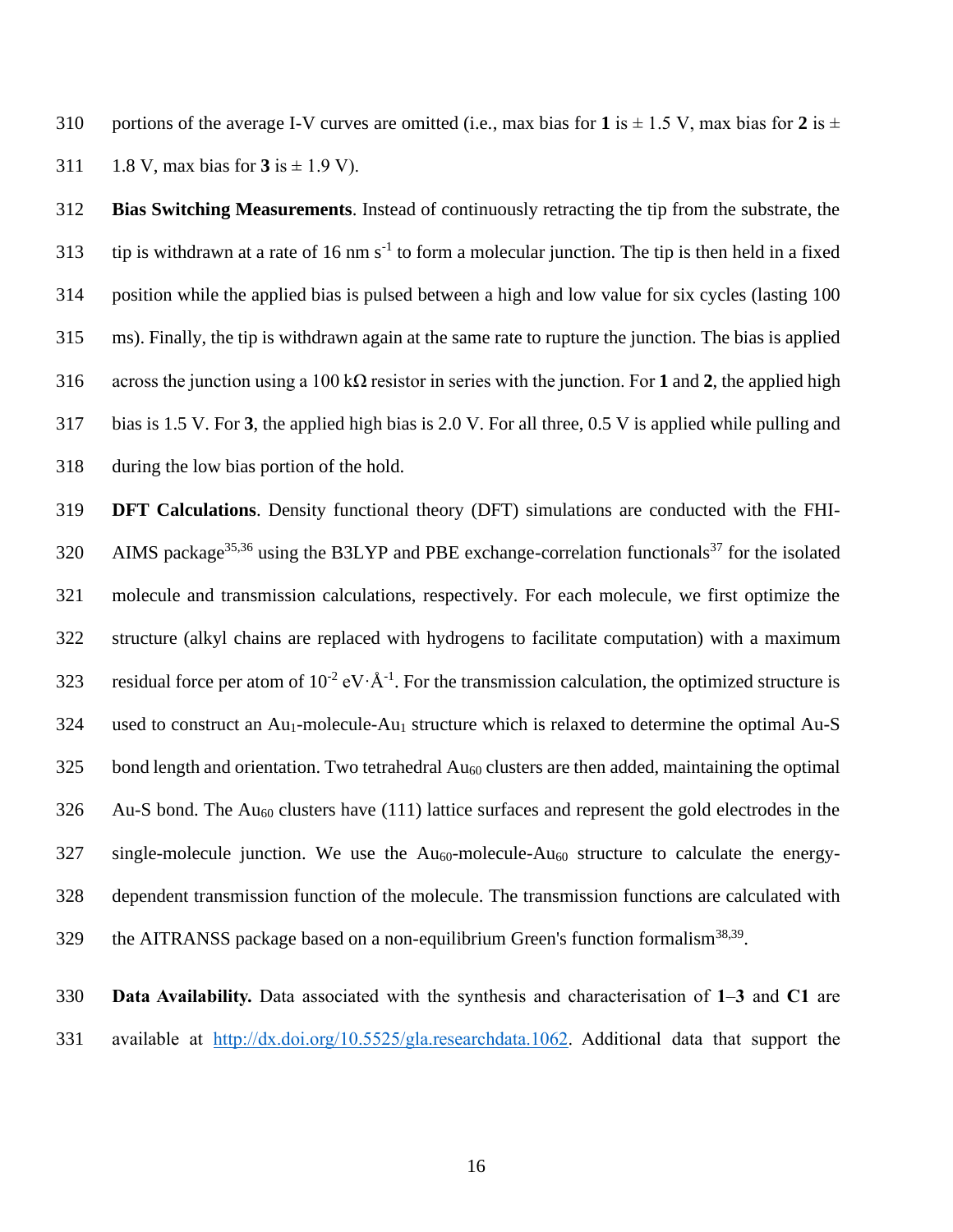310 portions of the average I-V curves are omitted (i.e., max bias for 1 is  $\pm$  1.5 V, max bias for 2 is  $\pm$ 311 1.8 V, max bias for is  $\pm$  1.9 V).

 **Bias Switching Measurements**. Instead of continuously retracting the tip from the substrate, the 313 tip is withdrawn at a rate of 16 nm  $s^{-1}$  to form a molecular junction. The tip is then held in a fixed position while the applied bias is pulsed between a high and low value for six cycles (lasting 100 ms). Finally, the tip is withdrawn again at the same rate to rupture the junction. The bias is applied across the junction using a 100 kΩ resistor in series with the junction. For **1** and **2**, the applied high bias is 1.5 V. For **3**, the applied high bias is 2.0 V. For all three, 0.5 V is applied while pulling and during the low bias portion of the hold.

 **DFT Calculations**. Density functional theory (DFT) simulations are conducted with the FHI-320 AIMS package<sup>35,36</sup> using the B3LYP and PBE exchange-correlation functionals<sup>37</sup> for the isolated molecule and transmission calculations, respectively. For each molecule, we first optimize the structure (alkyl chains are replaced with hydrogens to facilitate computation) with a maximum 323 residual force per atom of  $10^{-2}$  eV $\cdot$ Å<sup>-1</sup>. For the transmission calculation, the optimized structure is 324 used to construct an  $Au_1$ -molecule-Au<sub>1</sub> structure which is relaxed to determine the optimal Au-S bond length and orientation. Two tetrahedral  $Au_{60}$  clusters are then added, maintaining the optimal Au-S bond. The Au<sup>60</sup> clusters have (111) lattice surfaces and represent the gold electrodes in the single-molecule junction. We use the  $Au_{60}$ -molecule- $Au_{60}$  structure to calculate the energy- dependent transmission function of the molecule. The transmission functions are calculated with 329 the AITRANSS package based on a non-equilibrium Green's function formalism $38,39$ .

 **Data Availability.** Data associated with the synthesis and characterisation of **1**–**3** and **C1** are available at [http://dx.doi.org/10.5525/gla.researchdata.1062.](http://dx.doi.org/10.5525/gla.researchdata.1062) Additional data that support the